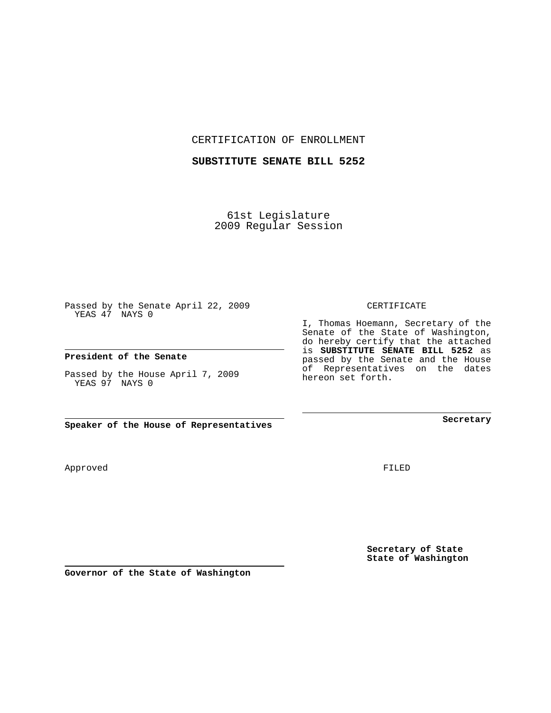CERTIFICATION OF ENROLLMENT

## **SUBSTITUTE SENATE BILL 5252**

61st Legislature 2009 Regular Session

Passed by the Senate April 22, 2009 YEAS 47 NAYS 0

## **President of the Senate**

Passed by the House April 7, 2009 YEAS 97 NAYS 0

**Speaker of the House of Representatives**

**Governor of the State of Washington**

**Secretary of State**

FILED

**State of Washington**

CERTIFICATE

I, Thomas Hoemann, Secretary of the Senate of the State of Washington, do hereby certify that the attached is **SUBSTITUTE SENATE BILL 5252** as passed by the Senate and the House of Representatives on the dates hereon set forth.

**Secretary**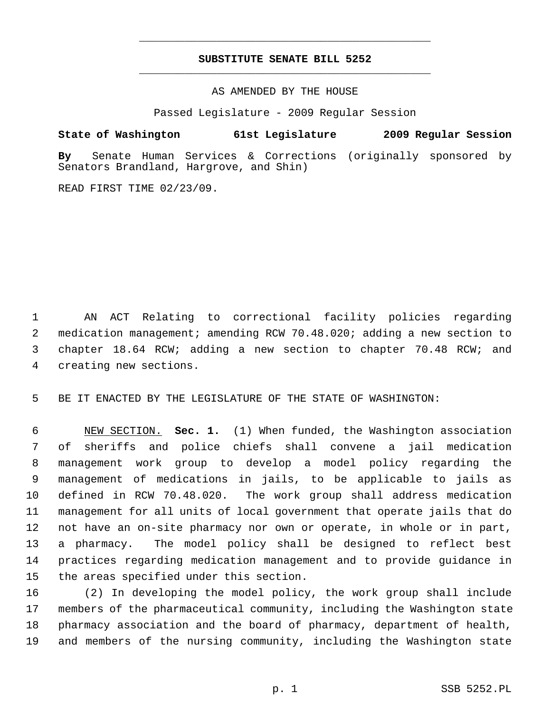## **SUBSTITUTE SENATE BILL 5252** \_\_\_\_\_\_\_\_\_\_\_\_\_\_\_\_\_\_\_\_\_\_\_\_\_\_\_\_\_\_\_\_\_\_\_\_\_\_\_\_\_\_\_\_\_

\_\_\_\_\_\_\_\_\_\_\_\_\_\_\_\_\_\_\_\_\_\_\_\_\_\_\_\_\_\_\_\_\_\_\_\_\_\_\_\_\_\_\_\_\_

AS AMENDED BY THE HOUSE

Passed Legislature - 2009 Regular Session

## **State of Washington 61st Legislature 2009 Regular Session**

**By** Senate Human Services & Corrections (originally sponsored by Senators Brandland, Hargrove, and Shin)

READ FIRST TIME 02/23/09.

 1 AN ACT Relating to correctional facility policies regarding 2 medication management; amending RCW 70.48.020; adding a new section to 3 chapter 18.64 RCW; adding a new section to chapter 70.48 RCW; and 4 creating new sections.

5 BE IT ENACTED BY THE LEGISLATURE OF THE STATE OF WASHINGTON:

 6 NEW SECTION. **Sec. 1.** (1) When funded, the Washington association 7 of sheriffs and police chiefs shall convene a jail medication 8 management work group to develop a model policy regarding the 9 management of medications in jails, to be applicable to jails as 10 defined in RCW 70.48.020. The work group shall address medication 11 management for all units of local government that operate jails that do 12 not have an on-site pharmacy nor own or operate, in whole or in part, 13 a pharmacy. The model policy shall be designed to reflect best 14 practices regarding medication management and to provide guidance in 15 the areas specified under this section.

16 (2) In developing the model policy, the work group shall include 17 members of the pharmaceutical community, including the Washington state 18 pharmacy association and the board of pharmacy, department of health, 19 and members of the nursing community, including the Washington state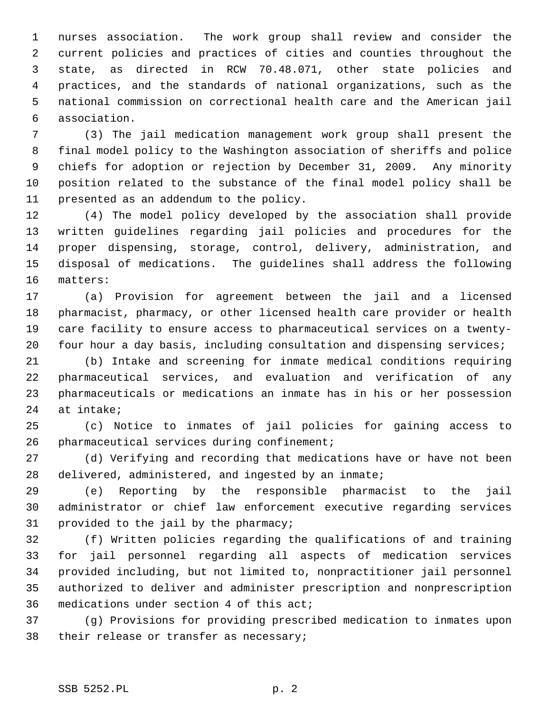1 nurses association. The work group shall review and consider the 2 current policies and practices of cities and counties throughout the 3 state, as directed in RCW 70.48.071, other state policies and 4 practices, and the standards of national organizations, such as the 5 national commission on correctional health care and the American jail 6 association.

 7 (3) The jail medication management work group shall present the 8 final model policy to the Washington association of sheriffs and police 9 chiefs for adoption or rejection by December 31, 2009. Any minority 10 position related to the substance of the final model policy shall be 11 presented as an addendum to the policy.

12 (4) The model policy developed by the association shall provide 13 written guidelines regarding jail policies and procedures for the 14 proper dispensing, storage, control, delivery, administration, and 15 disposal of medications. The guidelines shall address the following 16 matters:

17 (a) Provision for agreement between the jail and a licensed 18 pharmacist, pharmacy, or other licensed health care provider or health 19 care facility to ensure access to pharmaceutical services on a twenty-20 four hour a day basis, including consultation and dispensing services;

21 (b) Intake and screening for inmate medical conditions requiring 22 pharmaceutical services, and evaluation and verification of any 23 pharmaceuticals or medications an inmate has in his or her possession 24 at intake;

25 (c) Notice to inmates of jail policies for gaining access to 26 pharmaceutical services during confinement;

27 (d) Verifying and recording that medications have or have not been 28 delivered, administered, and ingested by an inmate;

29 (e) Reporting by the responsible pharmacist to the jail 30 administrator or chief law enforcement executive regarding services 31 provided to the jail by the pharmacy;

32 (f) Written policies regarding the qualifications of and training 33 for jail personnel regarding all aspects of medication services 34 provided including, but not limited to, nonpractitioner jail personnel 35 authorized to deliver and administer prescription and nonprescription 36 medications under section 4 of this act;

37 (g) Provisions for providing prescribed medication to inmates upon 38 their release or transfer as necessary;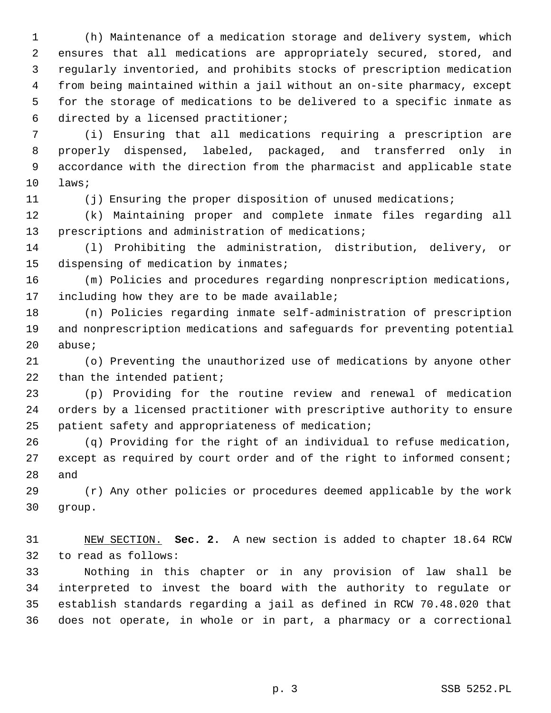1 (h) Maintenance of a medication storage and delivery system, which 2 ensures that all medications are appropriately secured, stored, and 3 regularly inventoried, and prohibits stocks of prescription medication 4 from being maintained within a jail without an on-site pharmacy, except 5 for the storage of medications to be delivered to a specific inmate as 6 directed by a licensed practitioner;

 7 (i) Ensuring that all medications requiring a prescription are 8 properly dispensed, labeled, packaged, and transferred only in 9 accordance with the direction from the pharmacist and applicable state 10 laws;

11 (j) Ensuring the proper disposition of unused medications;

12 (k) Maintaining proper and complete inmate files regarding all 13 prescriptions and administration of medications;

14 (l) Prohibiting the administration, distribution, delivery, or 15 dispensing of medication by inmates;

16 (m) Policies and procedures regarding nonprescription medications, 17 including how they are to be made available;

18 (n) Policies regarding inmate self-administration of prescription 19 and nonprescription medications and safeguards for preventing potential 20 abuse;

21 (o) Preventing the unauthorized use of medications by anyone other 22 than the intended patient;

23 (p) Providing for the routine review and renewal of medication 24 orders by a licensed practitioner with prescriptive authority to ensure 25 patient safety and appropriateness of medication;

26 (q) Providing for the right of an individual to refuse medication, 27 except as required by court order and of the right to informed consent; 28 and

29 (r) Any other policies or procedures deemed applicable by the work 30 group.

31 NEW SECTION. **Sec. 2.** A new section is added to chapter 18.64 RCW 32 to read as follows:

33 Nothing in this chapter or in any provision of law shall be 34 interpreted to invest the board with the authority to regulate or 35 establish standards regarding a jail as defined in RCW 70.48.020 that 36 does not operate, in whole or in part, a pharmacy or a correctional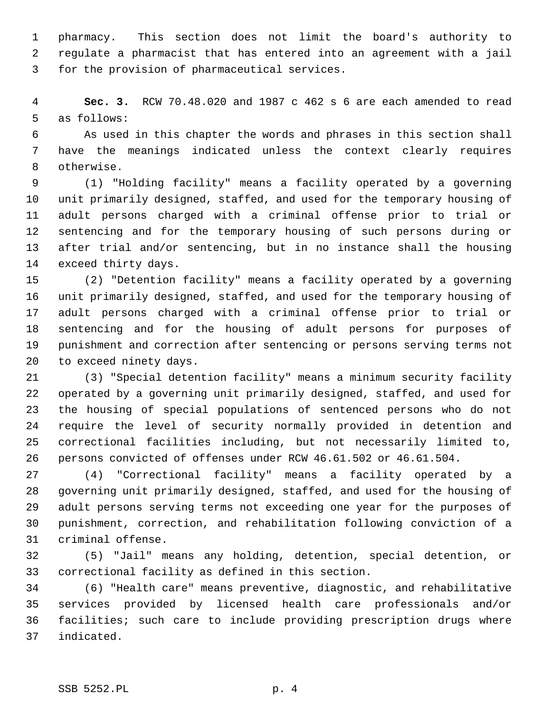1 pharmacy. This section does not limit the board's authority to 2 regulate a pharmacist that has entered into an agreement with a jail 3 for the provision of pharmaceutical services.

 4 **Sec. 3.** RCW 70.48.020 and 1987 c 462 s 6 are each amended to read 5 as follows:

 6 As used in this chapter the words and phrases in this section shall 7 have the meanings indicated unless the context clearly requires 8 otherwise.

 9 (1) "Holding facility" means a facility operated by a governing 10 unit primarily designed, staffed, and used for the temporary housing of 11 adult persons charged with a criminal offense prior to trial or 12 sentencing and for the temporary housing of such persons during or 13 after trial and/or sentencing, but in no instance shall the housing 14 exceed thirty days.

15 (2) "Detention facility" means a facility operated by a governing 16 unit primarily designed, staffed, and used for the temporary housing of 17 adult persons charged with a criminal offense prior to trial or 18 sentencing and for the housing of adult persons for purposes of 19 punishment and correction after sentencing or persons serving terms not 20 to exceed ninety days.

21 (3) "Special detention facility" means a minimum security facility 22 operated by a governing unit primarily designed, staffed, and used for 23 the housing of special populations of sentenced persons who do not 24 require the level of security normally provided in detention and 25 correctional facilities including, but not necessarily limited to, 26 persons convicted of offenses under RCW 46.61.502 or 46.61.504.

27 (4) "Correctional facility" means a facility operated by a 28 governing unit primarily designed, staffed, and used for the housing of 29 adult persons serving terms not exceeding one year for the purposes of 30 punishment, correction, and rehabilitation following conviction of a 31 criminal offense.

32 (5) "Jail" means any holding, detention, special detention, or 33 correctional facility as defined in this section.

34 (6) "Health care" means preventive, diagnostic, and rehabilitative 35 services provided by licensed health care professionals and/or 36 facilities; such care to include providing prescription drugs where 37 indicated.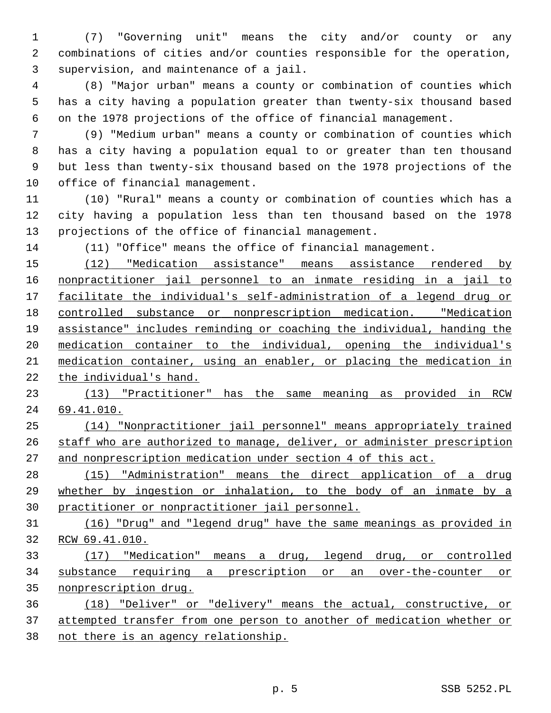1 (7) "Governing unit" means the city and/or county or any 2 combinations of cities and/or counties responsible for the operation, 3 supervision, and maintenance of a jail.

 4 (8) "Major urban" means a county or combination of counties which 5 has a city having a population greater than twenty-six thousand based 6 on the 1978 projections of the office of financial management.

 7 (9) "Medium urban" means a county or combination of counties which 8 has a city having a population equal to or greater than ten thousand 9 but less than twenty-six thousand based on the 1978 projections of the 10 office of financial management.

11 (10) "Rural" means a county or combination of counties which has a 12 city having a population less than ten thousand based on the 1978 13 projections of the office of financial management.

14 (11) "Office" means the office of financial management.

 (12) "Medication assistance" means assistance rendered by nonpractitioner jail personnel to an inmate residing in a jail to facilitate the individual's self-administration of a legend drug or controlled substance or nonprescription medication. "Medication assistance" includes reminding or coaching the individual, handing the medication container to the individual, opening the individual's medication container, using an enabler, or placing the medication in the individual's hand.

 (13) "Practitioner" has the same meaning as provided in RCW 69.41.010.

 (14) "Nonpractitioner jail personnel" means appropriately trained staff who are authorized to manage, deliver, or administer prescription and nonprescription medication under section 4 of this act.

 (15) "Administration" means the direct application of a drug whether by ingestion or inhalation, to the body of an inmate by a practitioner or nonpractitioner jail personnel.

 (16) "Drug" and "legend drug" have the same meanings as provided in RCW 69.41.010.

 (17) "Medication" means a drug, legend drug, or controlled substance requiring a prescription or an over-the-counter or nonprescription drug.

 (18) "Deliver" or "delivery" means the actual, constructive, or attempted transfer from one person to another of medication whether or not there is an agency relationship.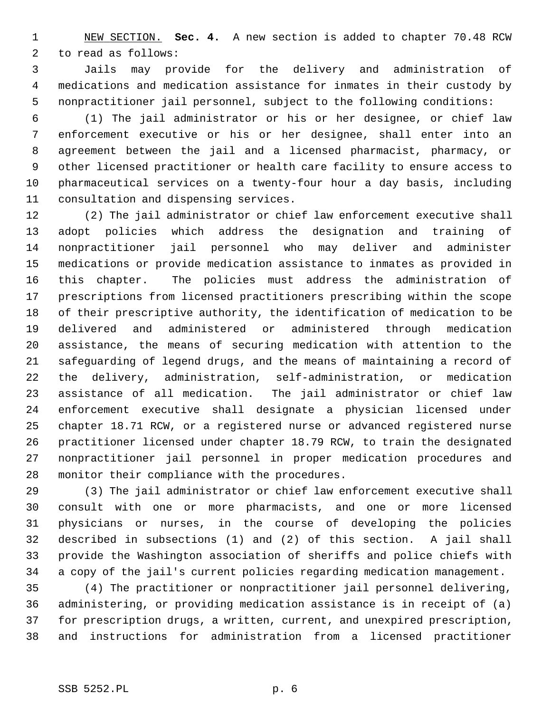1 NEW SECTION. **Sec. 4.** A new section is added to chapter 70.48 RCW 2 to read as follows:

 3 Jails may provide for the delivery and administration of 4 medications and medication assistance for inmates in their custody by 5 nonpractitioner jail personnel, subject to the following conditions:

 6 (1) The jail administrator or his or her designee, or chief law 7 enforcement executive or his or her designee, shall enter into an 8 agreement between the jail and a licensed pharmacist, pharmacy, or 9 other licensed practitioner or health care facility to ensure access to 10 pharmaceutical services on a twenty-four hour a day basis, including 11 consultation and dispensing services.

12 (2) The jail administrator or chief law enforcement executive shall 13 adopt policies which address the designation and training of 14 nonpractitioner jail personnel who may deliver and administer 15 medications or provide medication assistance to inmates as provided in 16 this chapter. The policies must address the administration of 17 prescriptions from licensed practitioners prescribing within the scope 18 of their prescriptive authority, the identification of medication to be 19 delivered and administered or administered through medication 20 assistance, the means of securing medication with attention to the 21 safeguarding of legend drugs, and the means of maintaining a record of 22 the delivery, administration, self-administration, or medication 23 assistance of all medication. The jail administrator or chief law 24 enforcement executive shall designate a physician licensed under 25 chapter 18.71 RCW, or a registered nurse or advanced registered nurse 26 practitioner licensed under chapter 18.79 RCW, to train the designated 27 nonpractitioner jail personnel in proper medication procedures and 28 monitor their compliance with the procedures.

29 (3) The jail administrator or chief law enforcement executive shall 30 consult with one or more pharmacists, and one or more licensed 31 physicians or nurses, in the course of developing the policies 32 described in subsections (1) and (2) of this section. A jail shall 33 provide the Washington association of sheriffs and police chiefs with 34 a copy of the jail's current policies regarding medication management.

35 (4) The practitioner or nonpractitioner jail personnel delivering, 36 administering, or providing medication assistance is in receipt of (a) 37 for prescription drugs, a written, current, and unexpired prescription, 38 and instructions for administration from a licensed practitioner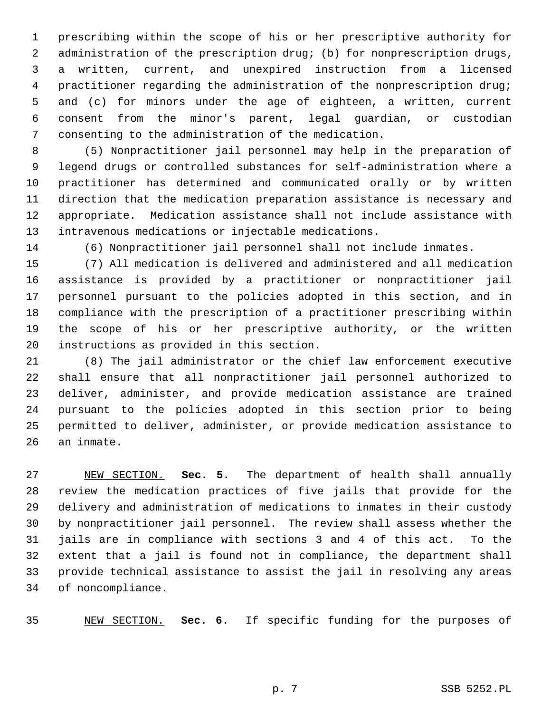1 prescribing within the scope of his or her prescriptive authority for 2 administration of the prescription drug; (b) for nonprescription drugs, 3 a written, current, and unexpired instruction from a licensed 4 practitioner regarding the administration of the nonprescription drug; 5 and (c) for minors under the age of eighteen, a written, current 6 consent from the minor's parent, legal guardian, or custodian 7 consenting to the administration of the medication.

 8 (5) Nonpractitioner jail personnel may help in the preparation of 9 legend drugs or controlled substances for self-administration where a 10 practitioner has determined and communicated orally or by written 11 direction that the medication preparation assistance is necessary and 12 appropriate. Medication assistance shall not include assistance with 13 intravenous medications or injectable medications.

14 (6) Nonpractitioner jail personnel shall not include inmates.

15 (7) All medication is delivered and administered and all medication 16 assistance is provided by a practitioner or nonpractitioner jail 17 personnel pursuant to the policies adopted in this section, and in 18 compliance with the prescription of a practitioner prescribing within 19 the scope of his or her prescriptive authority, or the written 20 instructions as provided in this section.

21 (8) The jail administrator or the chief law enforcement executive 22 shall ensure that all nonpractitioner jail personnel authorized to 23 deliver, administer, and provide medication assistance are trained 24 pursuant to the policies adopted in this section prior to being 25 permitted to deliver, administer, or provide medication assistance to 26 an inmate.

27 NEW SECTION. **Sec. 5.** The department of health shall annually 28 review the medication practices of five jails that provide for the 29 delivery and administration of medications to inmates in their custody 30 by nonpractitioner jail personnel. The review shall assess whether the 31 jails are in compliance with sections 3 and 4 of this act. To the 32 extent that a jail is found not in compliance, the department shall 33 provide technical assistance to assist the jail in resolving any areas 34 of noncompliance.

35 NEW SECTION. **Sec. 6.** If specific funding for the purposes of